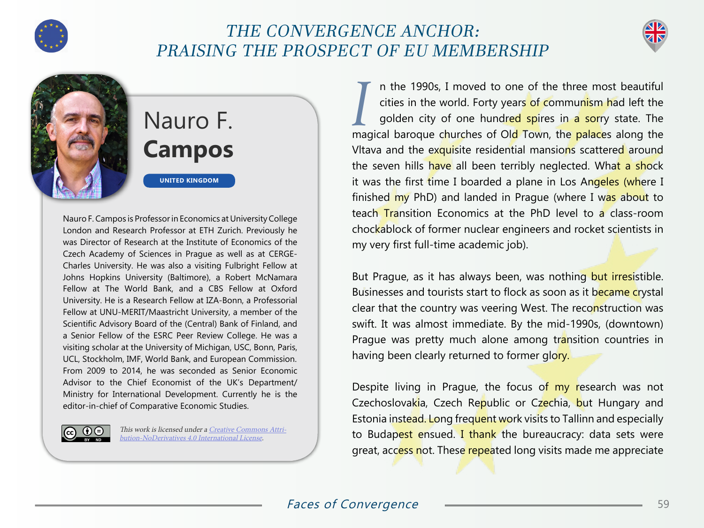

## THE CONVERGENCE ANCHOR: PRAISING THE PROSPECT OF EU MEMBERSHIP





## Nauro F. **Campos**

**UNITED KINGDOM**

Nauro F. Campos is Professor in Economics at University College London and Research Professor at ETH Zurich. Previously he was Director of Research at the Institute of Economics of the Czech Academy of Sciences in Prague as well as at CERGE-Charles University. He was also a visiting Fulbright Fellow at Johns Hopkins University (Baltimore), a Robert McNamara Fellow at The World Bank, and a CBS Fellow at Oxford University. He is a Research Fellow at IZA-Bonn, a Professorial Fellow at UNU-MERIT/Maastricht University, a member of the Scientific Advisory Board of the (Central) Bank of Finland, and a Senior Fellow of the ESRC Peer Review College. He was a visiting scholar at the University of Michigan, USC, Bonn, Paris, UCL, Stockholm, IMF, World Bank, and European Commission. From 2009 to 2014, he was seconded as Senior Economic Advisor to the Chief Economist of the UK's Department/ Ministry for International Development. Currently he is the editor-in-chief of Comparative Economic Studies.

This work is licensed under a [Creative Commons Attri-](https://creativecommons.org/licenses/by-nd/4.0/) $|G \odot \Theta|$ [bution-NoDerivatives 4.0 International License](https://creativecommons.org/licenses/by-nd/4.0/).

*I* n the 1990s, I moved to one of the three most beautiful cities in the world. Forty years of communism had left the golden city of one hundred spires in a sorry state. The magical baroque churches of Old Town, the palaces along the VItava and the exquisite residential mansions scattered around the seven hills have all been terribly neglected. What a shock it was the first time I boarded a plane in Los Angeles (where I finished my PhD) and landed in Prague (where I was about to teach Transition Economics at the PhD level to a class-room chockablock of former nuclear engineers and rocket scientists in my very first full-time academic job).

But Prague, as it has always been, was nothing but irresistible. Businesses and tourists start to flock as soon as it became crystal clear that the country was veering West. The reconstruction was swift. It was almost immediate. By the mid-1990s, (downtown) Prague was pretty much alone among transition countries in having been clearly returned to former glory.

Despite living in Prague, the focus of my research was not Czechoslovakia, Czech Republic or Czechia, but Hungary and Estonia instead. Long frequent work visits to Tallinn and especially to Budapest ensued. I thank the bureaucracy: data sets were great, access not. These repeated long visits made me appreciate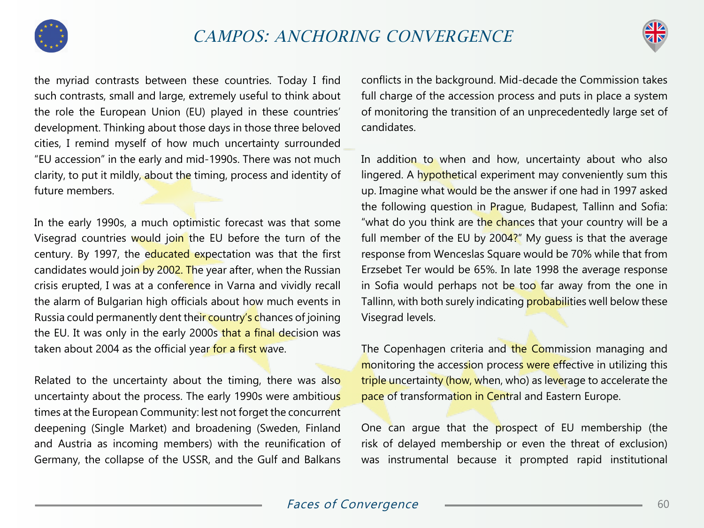



the myriad contrasts between these countries. Today I find such contrasts, small and large, extremely useful to think about the role the European Union (EU) played in these countries' development. Thinking about those days in those three beloved cities, I remind myself of how much uncertainty surrounded "EU accession" in the early and mid-1990s. There was not much clarity, to put it mildly, about the timing, process and identity of future members.

In the early 1990s, a much optimistic forecast was that some Visegrad countries would join the EU before the turn of the century. By 1997, the educated expectation was that the first candidates would join by 2002. The year after, when the Russian crisis erupted, I was at a conference in Varna and vividly recall the alarm of Bulgarian high officials about how much events in Russia could permanently dent their country's chances of joining the EU. It was only in the early 2000s that a final decision was taken about 2004 as the official year for a first wave.

Related to the uncertainty about the timing, there was also uncertainty about the process. The early 1990s were ambitious times at the European Community: lest not forget the concurrent deepening (Single Market) and broadening (Sweden, Finland and Austria as incoming members) with the reunification of Germany, the collapse of the USSR, and the Gulf and Balkans

conflicts in the background. Mid-decade the Commission takes full charge of the accession process and puts in place a system of monitoring the transition of an unprecedentedly large set of candidates.

In addition to when and how, uncertainty about who also lingered. A hypothetical experiment may conveniently sum this up. Imagine what would be the answer if one had in 1997 asked the following question in Prague, Budapest, Tallinn and Sofia: "what do you think are the chances that your country will be a full member of the EU by 2004?" My guess is that the average response from Wenceslas Square would be 70% while that from Erzsebet Ter would be 65%. In late 1998 the average response in Sofia would perhaps not be too far away from the one in Tallinn, with both surely indicating probabilities well below these Visegrad levels.

The Copenhagen criteria and the Commission managing and monitoring the accession process were effective in utilizing this triple uncertainty (how, when, who) as leverage to accelerate the pace of transformation in Central and Eastern Europe.

One can argue that the prospect of EU membership (the risk of delayed membership or even the threat of exclusion) was instrumental because it prompted rapid institutional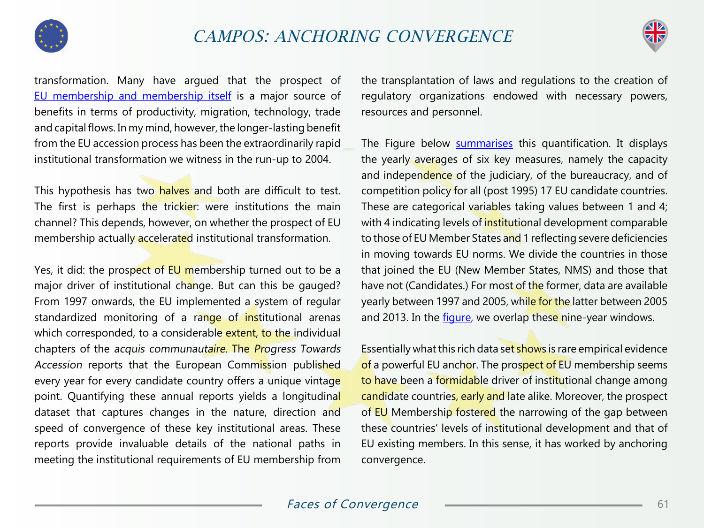



transformation. Many have argued that the prospect of [EU membership and membership itself](https://www.sciencedirect.com/science/article/pii/S0304393218301648?via%3Dihub) is a major source of benefits in terms of productivity, migration, technology, trade and capital flows. In my mind, however, the longer-lasting benefit from the EU accession process has been the extraordinarily rapid institutional transformation we witness in the run-up to 2004.

This hypothesis has two halves and both are difficult to test. The first is perhaps the trickier: were institutions the main channel? This depends, however, on whether the prospect of EU membership actually accelerated institutional transformation.

Yes, it did: the prospect of EU membership turned out to be a major driver of institutional change. But can this be gauged? From 1997 onwards, the EU implemented a system of regular standardized monitoring of a range of institutional arenas which corresponded, to a considerable extent, to the individual chapters of the acquis communautaire. The Progress Towards Accession reports that the European Commission published every year for every candidate country offers a unique vintage point. Quantifying these annual reports yields a longitudinal dataset that captures changes in the nature, direction and speed of convergence of these key institutional areas. These reports provide invaluable details of the national paths in meeting the institutional requirements of EU membership from

the transplantation of laws and regulations to the creation of regulatory organizations endowed with necessary powers, resources and personnel.

The Figure below [summarises](https://www.cambridge.org/core/journals/journal-of-institutional-economics/article/economic-integration-and-state-capacity/EAFB6AEAE9FD4DCABAE8587BDE669F76) this quantification. It displays the yearly averages of six key measures, namely the capacity and independence of the judiciary, of the bureaucracy, and of competition policy for all (post 1995) 17 EU candidate countries. These are categorical variables taking values between 1 and 4; with 4 indicating levels of institutional development comparable to those of EU Member States and 1 reflecting severe deficiencies in moving towards EU norms. We divide the countries in those that joined the EU (New Member States, NMS) and those that have not (Candidates.) For most of the former, data are available yearly between 1997 and 2005, while for the latter between 2005 and 2013. In the *[figure](https://voxeu.org/article/how-european-integration-builds-state-capacity)*, we overlap these nine-year windows.

Essentially what this rich data set shows is rare empirical evidence of a powerful EU anchor. The prospect of EU membership seems to have been a formidable driver of institutional change among candidate countries, early and late alike. Moreover, the prospect of EU Membership fostered the narrowing of the gap between these countries' levels of institutional development and that of EU existing members. In this sense, it has worked by anchoring convergence.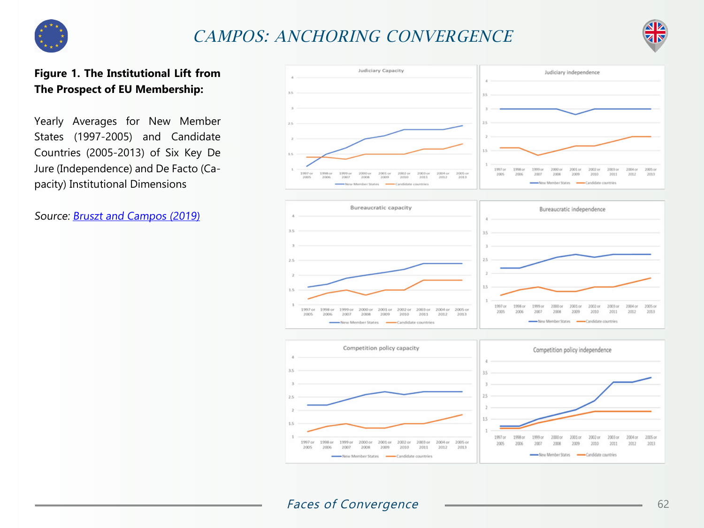

## CAMPOS: ANCHORING CONVERGENCE



## **Figure 1. The Institutional Lift from The Prospect of EU Membership:**

Yearly Averages for New Member States (1997-2005) and Candidate Countries (2005-2013) of Six Key De Jure (Independence) and De Facto (Capacity) Institutional Dimensions

Source: **Bruszt and Campos (2019)**